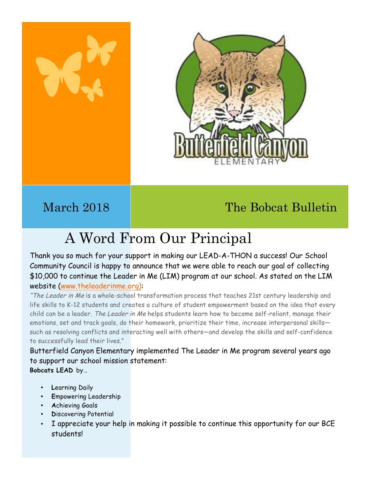

# March 2018 **The Bobcat Bulletin**

# A Word From Our Principal

Thank you so much for your support in making our LEAD-A-THON a success! Our School Community Council is happy to announce that we were able to reach our goal of collecting \$10,000 to continue the Leader in Me (LIM) program at our school. As stated on the LIM website (www.theleaderinme.org):

"The Leader in Me is a whole-school transformation process that teaches 21st century leadership and life skills to K-12 students and creates a culture of student empowerment based on the idea that every child can be a leader. The Leader in Me helps students learn how to become self-reliant, manage their emotions, set and track goals, do their homework, prioritize their time, increase interpersonal skills such as resolving conflicts and interacting well with others—and develop the skills and self-confidence to successfully lead their lives."

Butterfield Canyon Elementary implemented The Leader in Me program several years ago to support our school mission statement: **Bobcats LEAD** by…

- **L**earning Daily
- **E**mpowering Leadership
- **A**chieving Goals
- **D**iscovering Potential
- I appreciate your help in making it possible to continue this opportunity for our BCE students!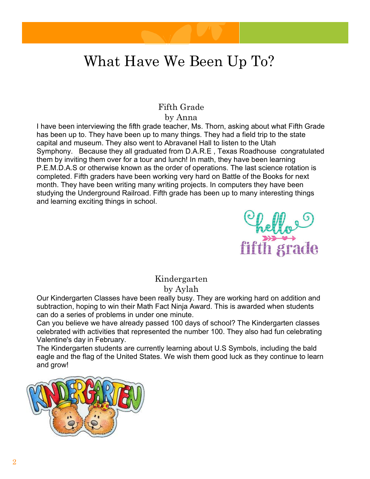# What Have We Been Up To?

### Fifth Grade

by Anna

I have been interviewing the fifth grade teacher, Ms. Thorn, asking about what Fifth Grade has been up to. They have been up to many things. They had a field trip to the state capital and museum. They also went to Abravanel Hall to listen to the Utah Symphony. Because they all graduated from D.A.R.E , Texas Roadhouse congratulated them by inviting them over for a tour and lunch! In math, they have been learning P.E.M.D.A.S or otherwise known as the order of operations. The last science rotation is completed. Fifth graders have been working very hard on Battle of the Books for next month. They have been writing many writing projects. In computers they have been studying the Underground Railroad. Fifth grade has been up to many interesting things and learning exciting things in school.



#### Kindergarten

by Aylah

Our Kindergarten Classes have been really busy. They are working hard on addition and subtraction, hoping to win their Math Fact Ninja Award. This is awarded when students can do a series of problems in under one minute.

Can you believe we have already passed 100 days of school? The Kindergarten classes celebrated with activities that represented the number 100. They also had fun celebrating Valentine's day in February.

The Kindergarten students are currently learning about U.S Symbols, including the bald eagle and the flag of the United States. We wish them good luck as they continue to learn and grow!

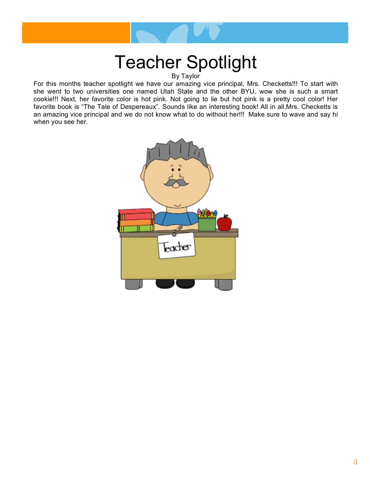

# Teacher Spotlight

By Taylor

For this months teacher spotlight we have our amazing vice principal, Mrs. Checketts!!! To start with she went to two universities one named Utah State and the other BYU, wow she is such a smart cookie!!! Next, her favorite color is hot pink. Not going to lie but hot pink is a pretty cool color! Her favorite book is "The Tale of Despereaux". Sounds like an interesting book! All in all,Mrs. Checketts is an amazing vice principal and we do not know what to do without her!!! Make sure to wave and say hi when you see her.

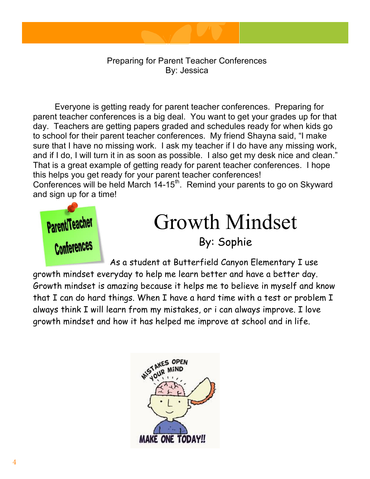

Preparing for Parent Teacher Conferences By: Jessica

Everyone is getting ready for parent teacher conferences. Preparing for parent teacher conferences is a big deal. You want to get your grades up for that day. Teachers are getting papers graded and schedules ready for when kids go to school for their parent teacher conferences. My friend Shayna said, "I make sure that I have no missing work. I ask my teacher if I do have any missing work, and if I do, I will turn it in as soon as possible. I also get my desk nice and clean." That is a great example of getting ready for parent teacher conferences. I hope this helps you get ready for your parent teacher conferences! Conferences will be held March  $14-15<sup>th</sup>$ . Remind your parents to go on Skyward and sign up for a time!



growth mindset everyday to help me learn better and have a better day. Growth mindset is amazing because it helps me to believe in myself and know that I can do hard things. When I have a hard time with a test or problem I always think I will learn from my mistakes, or i can always improve. I love growth mindset and how it has helped me improve at school and in life.

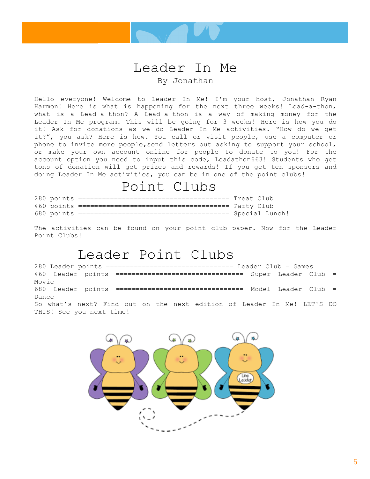

### Leader In Me By Jonathan

Hello everyone! Welcome to Leader In Me! I'm your host, Jonathan Ryan Harmon! Here is what is happening for the next three weeks! Lead-a-thon, what is a Lead-a-thon? A Lead-a-thon is a way of making money for the Leader In Me program. This will be going for 3 weeks! Here is how you do it! Ask for donations as we do Leader In Me activities. "How do we get it?", you ask? Here is how. You call or visit people, use a computer or phone to invite more people,send letters out asking to support your school, or make your own account online for people to donate to you! For the account option you need to input this code, Leadathon663! Students who get tons of donation will get prizes and rewards! If you get ten sponsors and doing Leader In Me activities, you can be in one of the point clubs!

## Point Clubs

The activities can be found on your point club paper. Now for the Leader Point Clubs!

## Leader Point Clubs

THIS! See you next time!

280 Leader points ================================ Leader Club = Games 460 Leader points ================================ Super Leader Club = Movie 680 Leader points ================================ Model Leader Club = Dance So what's next? Find out on the next edition of Leader In Me! LET'S DO

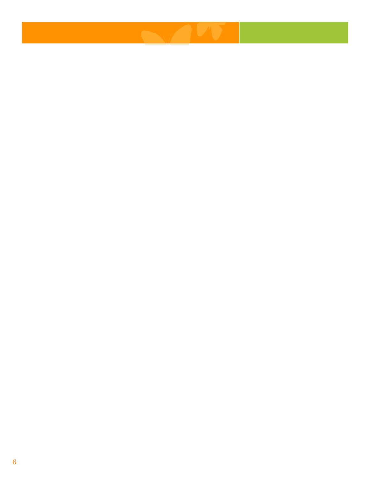